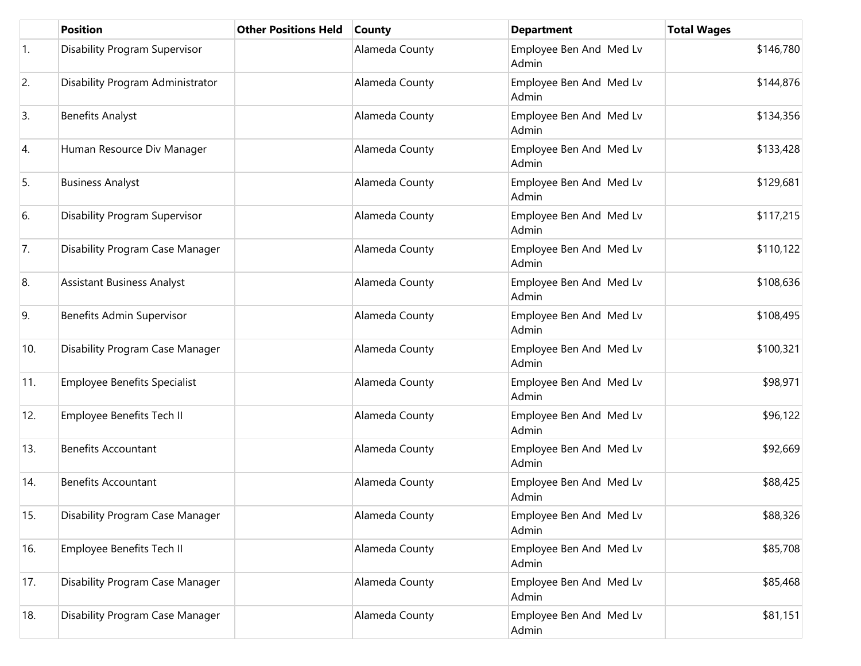|            | <b>Position</b>                     | <b>Other Positions Held</b> | <b>County</b>  | <b>Department</b>                | <b>Total Wages</b> |
|------------|-------------------------------------|-----------------------------|----------------|----------------------------------|--------------------|
| $\vert$ 1. | Disability Program Supervisor       |                             | Alameda County | Employee Ben And Med Lv<br>Admin | \$146,780          |
| 2.         | Disability Program Administrator    |                             | Alameda County | Employee Ben And Med Lv<br>Admin | \$144,876          |
| 3.         | <b>Benefits Analyst</b>             |                             | Alameda County | Employee Ben And Med Lv<br>Admin | \$134,356          |
| 4.         | Human Resource Div Manager          |                             | Alameda County | Employee Ben And Med Lv<br>Admin | \$133,428          |
| 5.         | <b>Business Analyst</b>             |                             | Alameda County | Employee Ben And Med Lv<br>Admin | \$129,681          |
| 6.         | Disability Program Supervisor       |                             | Alameda County | Employee Ben And Med Lv<br>Admin | \$117,215          |
| 7.         | Disability Program Case Manager     |                             | Alameda County | Employee Ben And Med Lv<br>Admin | \$110,122          |
| 8.         | <b>Assistant Business Analyst</b>   |                             | Alameda County | Employee Ben And Med Lv<br>Admin | \$108,636          |
| 9.         | Benefits Admin Supervisor           |                             | Alameda County | Employee Ben And Med Lv<br>Admin | \$108,495          |
| 10.        | Disability Program Case Manager     |                             | Alameda County | Employee Ben And Med Lv<br>Admin | \$100,321          |
| 11.        | <b>Employee Benefits Specialist</b> |                             | Alameda County | Employee Ben And Med Lv<br>Admin | \$98,971           |
| 12.        | Employee Benefits Tech II           |                             | Alameda County | Employee Ben And Med Lv<br>Admin | \$96,122           |
| 13.        | <b>Benefits Accountant</b>          |                             | Alameda County | Employee Ben And Med Lv<br>Admin | \$92,669           |
| 14.        | <b>Benefits Accountant</b>          |                             | Alameda County | Employee Ben And Med Lv<br>Admin | \$88,425           |
| 15.        | Disability Program Case Manager     |                             | Alameda County | Employee Ben And Med Lv<br>Admin | \$88,326           |
| 16.        | Employee Benefits Tech II           |                             | Alameda County | Employee Ben And Med Lv<br>Admin | \$85,708           |
| 17.        | Disability Program Case Manager     |                             | Alameda County | Employee Ben And Med Lv<br>Admin | \$85,468           |
| 18.        | Disability Program Case Manager     |                             | Alameda County | Employee Ben And Med Lv<br>Admin | \$81,151           |